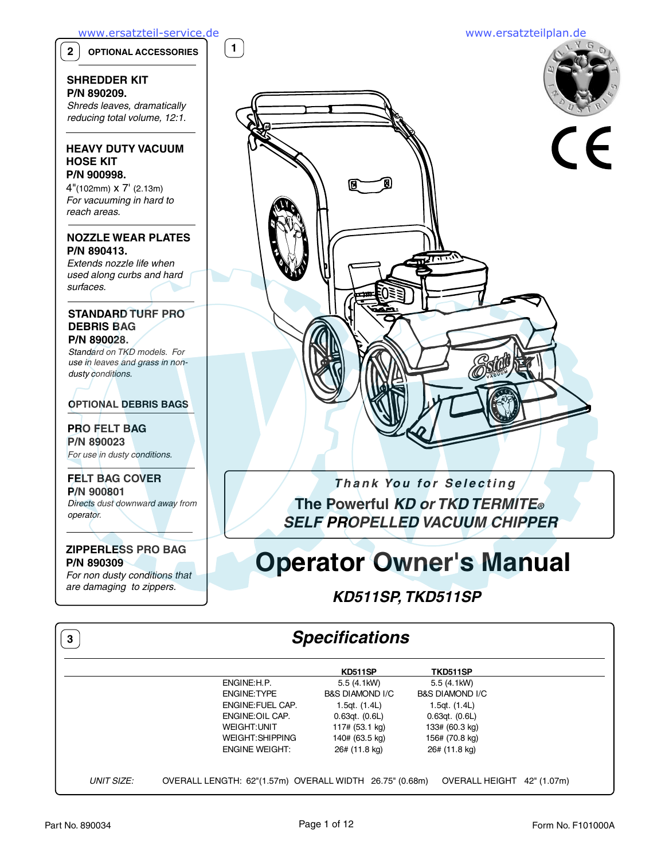**1**

**2 OPTIONAL ACCESSORIES**

### **SHREDDER KIT P/N 890209.**

Shreds leaves, dramatically reducing total volume, 12:1.

## **HEAVY DUTY VACUUM HOSE KIT P/N 900998.**

4"(102mm) x 7' (2.13m) For vacuuming in hard to reach areas.

# **NOZZLE WEAR PLATES P/N 890413.**

Extends nozzle life when used along curbs and hard surfaces.

### **STANDARD TURF PRO DEBRIS BAG P/N 890028.**

Standard on TKD models. For use in leaves and grass in nondusty conditions.

**OPTIONAL DEBRIS BAGS**

## **PRO FELT BAG P/N 890023** For use in dusty conditions.

**FELT BAG COVER P/N 900801** Directs dust downward away from operator.

# **ZIPPERLESS PRO BAG P/N 890309**

For non dusty conditions that are damaging to zippers.

# **Thank You for Selecting The Powerful KD or TKD TERMITE® SELF PROPELLED VACUUM CHIPPER**

# **Operator Owner's Manual**

# **KD511SP, TKD511SP**

# **Specifications**

|                                                         | KD511SP            | TKD511SP                             |
|---------------------------------------------------------|--------------------|--------------------------------------|
| ENGINE: H.P.                                            | 5.5 (4.1kW)        | 5.5 (4.1kW)                          |
| <b>ENGINE: TYPE</b>                                     | B&S DIAMOND I/C    | <b>B&amp;S DIAMOND I/C</b>           |
| ENGINE: FUEL CAP.                                       | 1.5qt. $(1.4L)$    | 1.5qt. (1.4L)                        |
| ENGINE: OIL CAP.                                        | $0.63qt.$ $(0.6L)$ | $0.63qt.$ $(0.6L)$                   |
| <b>WEIGHT:UNIT</b>                                      | 117# (53.1 kg)     | 133# (60.3 kg)                       |
| WEIGHT: SHIPPING                                        | 140# (63.5 kg)     | 156# (70.8 kg)                       |
| <b>ENGINE WEIGHT:</b>                                   | 26# (11.8 kg)      | 26# (11.8 kg)                        |
|                                                         |                    |                                      |
| OVERALL LENGTH: 62"(1.57m) OVERALL WIDTH 26.75" (0.68m) |                    | <b>OVERALL HEIGHT</b><br>42" (1.07m) |



**3**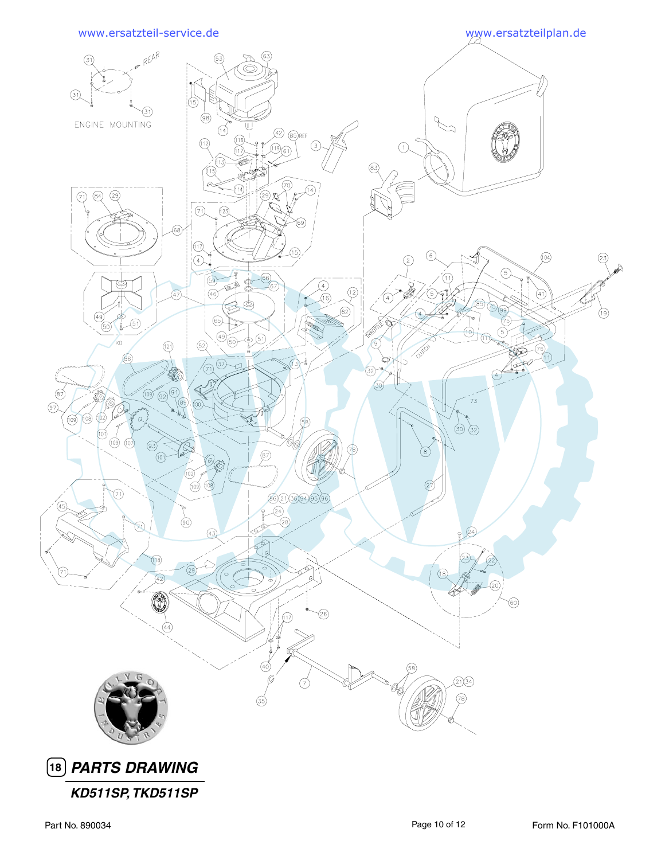

**KD511SP, TKD511SP**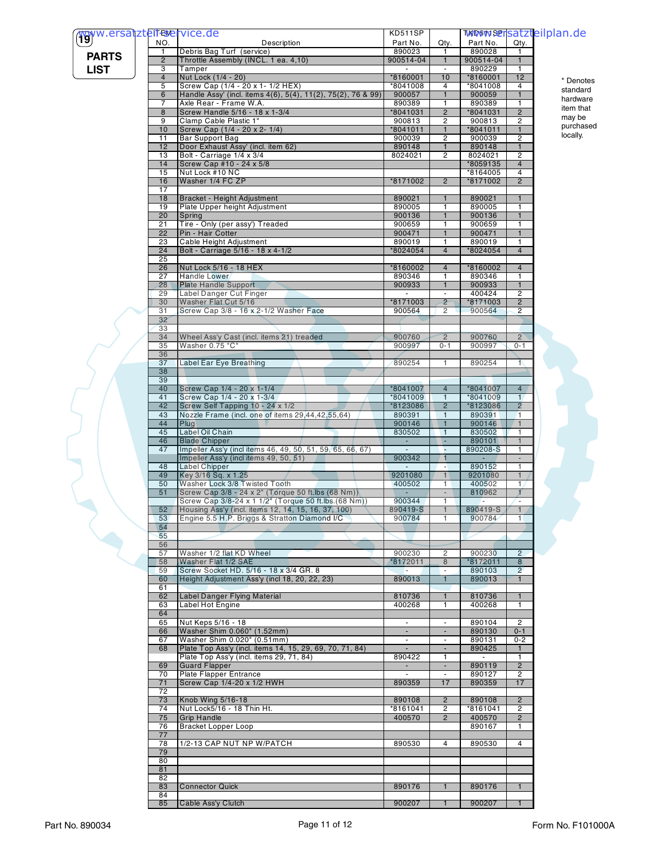| (Tyww.ersatzteiferervice.de<br>NO.<br>Description<br>Part No.<br>Part No.<br>Qty.<br>Qty.<br>890028<br>Debris Bag Turf (service)<br>890023<br>$\mathbf{1}$<br>1<br>1<br><b>PARTS</b><br>$\overline{2}$<br>900514-04<br>Throttle Assembly (INCL. 1 ea. 4,10)<br>900514-04<br>$\mathbf{1}$<br>$\mathbf{1}$<br><b>LIST</b><br>890229<br>3<br>Tamper<br>$\blacksquare$<br>1<br>Nut Lock (1/4 - 20)<br>*8160001<br>*8160001<br>12<br>$\overline{4}$<br>10<br>* Denotes<br>5<br>Screw Cap (1/4 - 20 x 1- 1/2 HEX)<br>$*8041008$<br>*8041008<br>4<br>4<br>standard<br>6<br>Handle Assy' (incl. items 4(6), 5(4), 11(2), 75(2), 76 & 99)<br>900057<br>900059<br>$\mathbf{1}$<br>$\mathbf{1}$<br>hardware<br>$\overline{7}$<br>Axle Rear - Frame W.A.<br>890389<br>890389<br>1<br>1<br>item that<br>*8041031<br>8<br>Screw Handle 5/16 - 18 x 1-3/4<br>$\overline{2}$<br>*8041031<br>$\overline{2}$<br>may be<br>9<br>Clamp Cable Plastic 1"<br>900813<br>900813<br>$\overline{c}$<br>2<br>purchased<br>10<br>Screw Cap (1/4 - 20 x 2- 1/4)<br>8041011<br>$\mathbf{1}$<br>*8041011<br>$\mathbf{1}$<br>locally.<br><b>Bar Support Bag</b><br>900039<br>11<br>$\overline{2}$<br>900039<br>$\overline{2}$<br>890148<br>890148<br>12<br>Door Exhaust Assy' (incl. item 62)<br>1<br>1<br>13<br>Bolt - Carriage 1/4 x 3/4<br>8024021<br>8024021<br>$\overline{c}$<br>$\overline{c}$<br>Screw Cap #10 - 24 x 5/8<br>*8059135<br>14<br>$\overline{4}$<br>Nut Lock #10 NC<br>15<br>*8164005<br>4<br>Washer 1/4 FC ZP<br>$\overline{2}$<br>16<br>*8171002<br>$\overline{2}$<br>*8171002<br>17<br>18<br>Bracket - Height Adjustment<br>890021<br>890021<br>$\mathbf{1}$<br>$\mathbf{1}$<br>19<br>Plate Upper height Adjustment<br>890005<br>890005<br>1<br>1<br>900136<br>20<br>900136<br>Spring<br>$\mathbf{1}$<br>1<br>21<br>Tire - Only (per assy') Treaded<br>900659<br>900659<br>1<br>1<br>22<br>Pin - Hair Cotter<br>900471<br>$\mathbf{1}$<br>900471<br>$\mathbf{1}$<br>890019<br>23<br>Cable Height Adjustment<br>890019<br>1<br>1<br>Bolt - Carriage 5/16 - 18 x 4-1/2<br>8024054<br>*8024054<br>24<br>$\overline{4}$<br>$\overline{4}$<br>25<br>26<br>Nut Lock 5/16 - 18 HEX<br>*8160002<br>$\overline{4}$<br>*8160002<br>$\overline{4}$<br>27<br><b>Handle Lower</b><br>890346<br>890346<br>$\overline{1}$<br>$\mathbf{1}$<br><b>Plate Handle Support</b><br>900933<br>900933<br>$\mathbf{1}$<br>28<br>$\mathbf{1}$<br>Label Danger Cut Finger<br>400424<br>$\overline{2}$<br>29<br>$\blacksquare$<br>Washer Flat Cut 5/16<br>*8171003<br>8171003<br>$\overline{2}$<br>30<br>$\overline{2}$<br>Screw Cap 3/8 - 16 x 2-1/2 Washer Face<br>900564<br>$\overline{2}$<br>900564<br>31<br>$\mathbf{2}$<br>32<br>33<br>34<br>Wheel Ass'y Cast (incl. items 21) treaded<br>900760<br>$\overline{2}$<br>900760<br>$2^{\circ}$<br>Washer 0.75 "C"<br>900997<br>900997<br>35<br>$0 - 1$<br>$0 - 1$<br>36<br>890254<br>890254<br>37<br>Label Ear Eye Breathing<br>$\mathbf{1}$<br>1\<br>38<br>39<br>Screw Cap 1/4 - 20 x 1-1/4<br>*8041007<br>40<br>$\overline{4}$<br>*8041007<br>4<br>Screw Cap 1/4 - 20 x 1-3/4<br>$*8041009$<br>$*8041009$<br>41<br>$\mathbf{1}$<br>$\mathbf{1}$<br>42<br>$\overline{2}$<br>$\overline{2}$<br>Screw Self Tapping 10 - 24 x 1/2<br>*8123086<br>*8123086<br>43<br>Nozzle Frame (incl. one of items 29,44,42,55,64)<br>890391<br>890391<br>$\mathbf{1}$<br>$\overline{1}$<br>900146<br>900146<br>44<br>Plug<br>$\mathbf{1}$<br>$\mathbf{1}$<br>45<br>Label Oil Chain<br>830502<br>$\mathbf{1}$<br>830502<br>1<br>46<br><b>Blade Chipper</b><br>890101<br>$\mathbf{1}$<br>u.<br>×.<br>Impeller Ass'y (incl items 46, 49, 50, 51, 59, 65, 66, 67)<br>890208-S<br>47<br>1<br>÷<br>Impeller Ass'y (incl items 49, 50, 51)<br>900342<br>1<br>$\sim$<br>890152<br>Label Chipper<br>48<br>1<br>$\sim$<br>Key 3/16 Sq. x 1.25<br>9201080<br>9201080<br>$\mathbf{1}$<br>49<br>1<br>50<br>Washer Lock 3/8 Twisted Tooth<br>400502<br>400502<br>1/<br>1<br>Screw Cap 3/8 - 24 x 2" (Torque 50 ft.lbs (68 Nm))<br>810962<br>X<br>51<br>$\sim$<br>Screw Cap 3/8-24 x 1 1/2" (Torque 50 ft.lbs.(68 Nm))<br>900344<br>$\mathbf{1}$<br>÷<br>890419-S<br>52 <sub>2</sub><br>Housing Ass'y (incl. items 12, 14, 15, 16, 37, 100)<br>$\mathbf{1}$<br>890419-S<br>$\mathbf{1}$<br>Engine 5.5 H.P. Briggs & Stratton Diamond I/C<br>900784<br>900784<br>53<br>1<br>1 <sup>2</sup><br>54<br>55<br>56<br>$\overline{2}$<br>57<br>Washer 1/2 flat KD Wheel<br>900230<br>$\overline{2}$<br>900230<br>*8172011<br>58<br>Washer Flat 1/2 SAE<br>*8172011<br>8<br>8 <sup>°</sup><br>Screw Socket HD. 5/16 - 18 x 3/4 GR. 8<br>890103<br>$\overline{2}$<br>59<br>H.<br>$\sim$<br>Height Adjustment Ass'y (incl 18, 20, 22, 23)<br>890013<br>890013<br>$\mathbf{1}$<br>60<br>$\mathbf{1}$<br>61<br>Label Danger Flying Material<br>810736<br>810736<br>62<br>$\mathbf{1}$<br>1<br>400268<br>400268<br>Label Hot Engine<br>$\mathbf{1}$<br>63<br>$\mathbf{1}$<br>64<br>Nut Keps 5/16 - 18<br>890104<br>65<br>2<br>$\sim$<br>$\overline{\phantom{a}}$<br>Washer Shim 0.060" (1.52mm)<br>$\mathcal{L}_{\mathcal{A}}$<br>890130<br>$0 - 1$<br>66<br>$\sim$<br>Washer Shim 0.020" (0.51mm)<br>890131<br>$0 - 2$<br>67<br>$\sim$<br>$\blacksquare$<br>Plate Top Ass'y (incl. items 14, 15, 29, 69, 70, 71, 84)<br>890425<br>68<br>$\mathbf{1}$<br>$\overline{\phantom{a}}$<br>٠<br>Plate Top Ass'y (incl. items 29, 71, 84)<br>890422<br>$\mathbf{1}$<br>1<br><b>Guard Flapper</b><br>$\overline{2}$<br>890119<br>69<br>$\sim$<br>$\sim$<br>Plate Flapper Entrance<br>890127<br>$\overline{c}$<br>70<br>$\sim$<br>$\sim$<br>Screw Cap 1/4-20 x 1/2 HWH<br>890359<br>17<br>890359<br>17<br>71<br>72<br>Knob Wing 5/16-18<br>890108<br>$\overline{2}$<br>890108<br>$\overline{2}$<br>73<br>Nut Lock5/16 - 18 Thin Ht.<br>*8161041<br>*8161041<br>$\overline{2}$<br>74<br>$\overline{2}$<br>400570<br>Grip Handle<br>400570<br>$\overline{2}$<br>75<br>$\overline{2}$<br><b>Bracket Lopper Loop</b><br>890167<br>76<br>1<br>77<br>1/2-13 CAP NUT NP W/PATCH<br>890530<br>890530<br>78<br>4<br>4<br>79<br>80<br>81<br>82<br><b>Connector Quick</b><br>890176<br>83<br>$\mathbf{1}$<br>890176<br>$\mathbf{1}$<br>84<br>900207<br>85<br>Cable Ass'y Clutch<br>900207<br>$\mathbf{1}$<br>$\mathbf{1}$ |  | <b>KD511SP</b> |  | <b>WIDSVN SPISATZTeilplan.de</b> |
|------------------------------------------------------------------------------------------------------------------------------------------------------------------------------------------------------------------------------------------------------------------------------------------------------------------------------------------------------------------------------------------------------------------------------------------------------------------------------------------------------------------------------------------------------------------------------------------------------------------------------------------------------------------------------------------------------------------------------------------------------------------------------------------------------------------------------------------------------------------------------------------------------------------------------------------------------------------------------------------------------------------------------------------------------------------------------------------------------------------------------------------------------------------------------------------------------------------------------------------------------------------------------------------------------------------------------------------------------------------------------------------------------------------------------------------------------------------------------------------------------------------------------------------------------------------------------------------------------------------------------------------------------------------------------------------------------------------------------------------------------------------------------------------------------------------------------------------------------------------------------------------------------------------------------------------------------------------------------------------------------------------------------------------------------------------------------------------------------------------------------------------------------------------------------------------------------------------------------------------------------------------------------------------------------------------------------------------------------------------------------------------------------------------------------------------------------------------------------------------------------------------------------------------------------------------------------------------------------------------------------------------------------------------------------------------------------------------------------------------------------------------------------------------------------------------------------------------------------------------------------------------------------------------------------------------------------------------------------------------------------------------------------------------------------------------------------------------------------------------------------------------------------------------------------------------------------------------------------------------------------------------------------------------------------------------------------------------------------------------------------------------------------------------------------------------------------------------------------------------------------------------------------------------------------------------------------------------------------------------------------------------------------------------------------------------------------------------------------------------------------------------------------------------------------------------------------------------------------------------------------------------------------------------------------------------------------------------------------------------------------------------------------------------------------------------------------------------------------------------------------------------------------------------------------------------------------------------------------------------------------------------------------------------------------------------------------------------------------------------------------------------------------------------------------------------------------------------------------------------------------------------------------------------------------------------------------------------------------------------------------------------------------------------------------------------------------------------------------------------------------------------------------------------------------------------------------------------------------------------------------------------------------------------------------------------------------------------------------------------------------------------------------------------------------------------------------------------------------------------------------------------------------------------------------------------------------------------------------------------------------------------------------------------------------------------------------------------------------------------------------------------------------------------------------------------------------------------------------------------------------------------------------------------------------------------------------------------------------------------------------------------------------------------------------------------------------------------------------------------------------------------------------------------------------------------------------------------------------------------------------------------------------------------------------------------------------------------------------------------------------------------------------------------------------------------------------------------------------------------------------------------------------------------------------------------------------------------------------------------------------------------------|--|----------------|--|----------------------------------|
|                                                                                                                                                                                                                                                                                                                                                                                                                                                                                                                                                                                                                                                                                                                                                                                                                                                                                                                                                                                                                                                                                                                                                                                                                                                                                                                                                                                                                                                                                                                                                                                                                                                                                                                                                                                                                                                                                                                                                                                                                                                                                                                                                                                                                                                                                                                                                                                                                                                                                                                                                                                                                                                                                                                                                                                                                                                                                                                                                                                                                                                                                                                                                                                                                                                                                                                                                                                                                                                                                                                                                                                                                                                                                                                                                                                                                                                                                                                                                                                                                                                                                                                                                                                                                                                                                                                                                                                                                                                                                                                                                                                                                                                                                                                                                                                                                                                                                                                                                                                                                                                                                                                                                                                                                                                                                                                                                                                                                                                                                                                                                                                                                                                                                                                                                                                                                                                                                                                                                                                                                                                                                                                                                                                                                                                                        |  |                |  |                                  |
|                                                                                                                                                                                                                                                                                                                                                                                                                                                                                                                                                                                                                                                                                                                                                                                                                                                                                                                                                                                                                                                                                                                                                                                                                                                                                                                                                                                                                                                                                                                                                                                                                                                                                                                                                                                                                                                                                                                                                                                                                                                                                                                                                                                                                                                                                                                                                                                                                                                                                                                                                                                                                                                                                                                                                                                                                                                                                                                                                                                                                                                                                                                                                                                                                                                                                                                                                                                                                                                                                                                                                                                                                                                                                                                                                                                                                                                                                                                                                                                                                                                                                                                                                                                                                                                                                                                                                                                                                                                                                                                                                                                                                                                                                                                                                                                                                                                                                                                                                                                                                                                                                                                                                                                                                                                                                                                                                                                                                                                                                                                                                                                                                                                                                                                                                                                                                                                                                                                                                                                                                                                                                                                                                                                                                                                                        |  |                |  |                                  |
|                                                                                                                                                                                                                                                                                                                                                                                                                                                                                                                                                                                                                                                                                                                                                                                                                                                                                                                                                                                                                                                                                                                                                                                                                                                                                                                                                                                                                                                                                                                                                                                                                                                                                                                                                                                                                                                                                                                                                                                                                                                                                                                                                                                                                                                                                                                                                                                                                                                                                                                                                                                                                                                                                                                                                                                                                                                                                                                                                                                                                                                                                                                                                                                                                                                                                                                                                                                                                                                                                                                                                                                                                                                                                                                                                                                                                                                                                                                                                                                                                                                                                                                                                                                                                                                                                                                                                                                                                                                                                                                                                                                                                                                                                                                                                                                                                                                                                                                                                                                                                                                                                                                                                                                                                                                                                                                                                                                                                                                                                                                                                                                                                                                                                                                                                                                                                                                                                                                                                                                                                                                                                                                                                                                                                                                                        |  |                |  |                                  |
|                                                                                                                                                                                                                                                                                                                                                                                                                                                                                                                                                                                                                                                                                                                                                                                                                                                                                                                                                                                                                                                                                                                                                                                                                                                                                                                                                                                                                                                                                                                                                                                                                                                                                                                                                                                                                                                                                                                                                                                                                                                                                                                                                                                                                                                                                                                                                                                                                                                                                                                                                                                                                                                                                                                                                                                                                                                                                                                                                                                                                                                                                                                                                                                                                                                                                                                                                                                                                                                                                                                                                                                                                                                                                                                                                                                                                                                                                                                                                                                                                                                                                                                                                                                                                                                                                                                                                                                                                                                                                                                                                                                                                                                                                                                                                                                                                                                                                                                                                                                                                                                                                                                                                                                                                                                                                                                                                                                                                                                                                                                                                                                                                                                                                                                                                                                                                                                                                                                                                                                                                                                                                                                                                                                                                                                                        |  |                |  |                                  |
|                                                                                                                                                                                                                                                                                                                                                                                                                                                                                                                                                                                                                                                                                                                                                                                                                                                                                                                                                                                                                                                                                                                                                                                                                                                                                                                                                                                                                                                                                                                                                                                                                                                                                                                                                                                                                                                                                                                                                                                                                                                                                                                                                                                                                                                                                                                                                                                                                                                                                                                                                                                                                                                                                                                                                                                                                                                                                                                                                                                                                                                                                                                                                                                                                                                                                                                                                                                                                                                                                                                                                                                                                                                                                                                                                                                                                                                                                                                                                                                                                                                                                                                                                                                                                                                                                                                                                                                                                                                                                                                                                                                                                                                                                                                                                                                                                                                                                                                                                                                                                                                                                                                                                                                                                                                                                                                                                                                                                                                                                                                                                                                                                                                                                                                                                                                                                                                                                                                                                                                                                                                                                                                                                                                                                                                                        |  |                |  |                                  |
|                                                                                                                                                                                                                                                                                                                                                                                                                                                                                                                                                                                                                                                                                                                                                                                                                                                                                                                                                                                                                                                                                                                                                                                                                                                                                                                                                                                                                                                                                                                                                                                                                                                                                                                                                                                                                                                                                                                                                                                                                                                                                                                                                                                                                                                                                                                                                                                                                                                                                                                                                                                                                                                                                                                                                                                                                                                                                                                                                                                                                                                                                                                                                                                                                                                                                                                                                                                                                                                                                                                                                                                                                                                                                                                                                                                                                                                                                                                                                                                                                                                                                                                                                                                                                                                                                                                                                                                                                                                                                                                                                                                                                                                                                                                                                                                                                                                                                                                                                                                                                                                                                                                                                                                                                                                                                                                                                                                                                                                                                                                                                                                                                                                                                                                                                                                                                                                                                                                                                                                                                                                                                                                                                                                                                                                                        |  |                |  |                                  |
|                                                                                                                                                                                                                                                                                                                                                                                                                                                                                                                                                                                                                                                                                                                                                                                                                                                                                                                                                                                                                                                                                                                                                                                                                                                                                                                                                                                                                                                                                                                                                                                                                                                                                                                                                                                                                                                                                                                                                                                                                                                                                                                                                                                                                                                                                                                                                                                                                                                                                                                                                                                                                                                                                                                                                                                                                                                                                                                                                                                                                                                                                                                                                                                                                                                                                                                                                                                                                                                                                                                                                                                                                                                                                                                                                                                                                                                                                                                                                                                                                                                                                                                                                                                                                                                                                                                                                                                                                                                                                                                                                                                                                                                                                                                                                                                                                                                                                                                                                                                                                                                                                                                                                                                                                                                                                                                                                                                                                                                                                                                                                                                                                                                                                                                                                                                                                                                                                                                                                                                                                                                                                                                                                                                                                                                                        |  |                |  |                                  |
|                                                                                                                                                                                                                                                                                                                                                                                                                                                                                                                                                                                                                                                                                                                                                                                                                                                                                                                                                                                                                                                                                                                                                                                                                                                                                                                                                                                                                                                                                                                                                                                                                                                                                                                                                                                                                                                                                                                                                                                                                                                                                                                                                                                                                                                                                                                                                                                                                                                                                                                                                                                                                                                                                                                                                                                                                                                                                                                                                                                                                                                                                                                                                                                                                                                                                                                                                                                                                                                                                                                                                                                                                                                                                                                                                                                                                                                                                                                                                                                                                                                                                                                                                                                                                                                                                                                                                                                                                                                                                                                                                                                                                                                                                                                                                                                                                                                                                                                                                                                                                                                                                                                                                                                                                                                                                                                                                                                                                                                                                                                                                                                                                                                                                                                                                                                                                                                                                                                                                                                                                                                                                                                                                                                                                                                                        |  |                |  |                                  |
|                                                                                                                                                                                                                                                                                                                                                                                                                                                                                                                                                                                                                                                                                                                                                                                                                                                                                                                                                                                                                                                                                                                                                                                                                                                                                                                                                                                                                                                                                                                                                                                                                                                                                                                                                                                                                                                                                                                                                                                                                                                                                                                                                                                                                                                                                                                                                                                                                                                                                                                                                                                                                                                                                                                                                                                                                                                                                                                                                                                                                                                                                                                                                                                                                                                                                                                                                                                                                                                                                                                                                                                                                                                                                                                                                                                                                                                                                                                                                                                                                                                                                                                                                                                                                                                                                                                                                                                                                                                                                                                                                                                                                                                                                                                                                                                                                                                                                                                                                                                                                                                                                                                                                                                                                                                                                                                                                                                                                                                                                                                                                                                                                                                                                                                                                                                                                                                                                                                                                                                                                                                                                                                                                                                                                                                                        |  |                |  |                                  |
|                                                                                                                                                                                                                                                                                                                                                                                                                                                                                                                                                                                                                                                                                                                                                                                                                                                                                                                                                                                                                                                                                                                                                                                                                                                                                                                                                                                                                                                                                                                                                                                                                                                                                                                                                                                                                                                                                                                                                                                                                                                                                                                                                                                                                                                                                                                                                                                                                                                                                                                                                                                                                                                                                                                                                                                                                                                                                                                                                                                                                                                                                                                                                                                                                                                                                                                                                                                                                                                                                                                                                                                                                                                                                                                                                                                                                                                                                                                                                                                                                                                                                                                                                                                                                                                                                                                                                                                                                                                                                                                                                                                                                                                                                                                                                                                                                                                                                                                                                                                                                                                                                                                                                                                                                                                                                                                                                                                                                                                                                                                                                                                                                                                                                                                                                                                                                                                                                                                                                                                                                                                                                                                                                                                                                                                                        |  |                |  |                                  |
|                                                                                                                                                                                                                                                                                                                                                                                                                                                                                                                                                                                                                                                                                                                                                                                                                                                                                                                                                                                                                                                                                                                                                                                                                                                                                                                                                                                                                                                                                                                                                                                                                                                                                                                                                                                                                                                                                                                                                                                                                                                                                                                                                                                                                                                                                                                                                                                                                                                                                                                                                                                                                                                                                                                                                                                                                                                                                                                                                                                                                                                                                                                                                                                                                                                                                                                                                                                                                                                                                                                                                                                                                                                                                                                                                                                                                                                                                                                                                                                                                                                                                                                                                                                                                                                                                                                                                                                                                                                                                                                                                                                                                                                                                                                                                                                                                                                                                                                                                                                                                                                                                                                                                                                                                                                                                                                                                                                                                                                                                                                                                                                                                                                                                                                                                                                                                                                                                                                                                                                                                                                                                                                                                                                                                                                                        |  |                |  |                                  |
|                                                                                                                                                                                                                                                                                                                                                                                                                                                                                                                                                                                                                                                                                                                                                                                                                                                                                                                                                                                                                                                                                                                                                                                                                                                                                                                                                                                                                                                                                                                                                                                                                                                                                                                                                                                                                                                                                                                                                                                                                                                                                                                                                                                                                                                                                                                                                                                                                                                                                                                                                                                                                                                                                                                                                                                                                                                                                                                                                                                                                                                                                                                                                                                                                                                                                                                                                                                                                                                                                                                                                                                                                                                                                                                                                                                                                                                                                                                                                                                                                                                                                                                                                                                                                                                                                                                                                                                                                                                                                                                                                                                                                                                                                                                                                                                                                                                                                                                                                                                                                                                                                                                                                                                                                                                                                                                                                                                                                                                                                                                                                                                                                                                                                                                                                                                                                                                                                                                                                                                                                                                                                                                                                                                                                                                                        |  |                |  |                                  |
|                                                                                                                                                                                                                                                                                                                                                                                                                                                                                                                                                                                                                                                                                                                                                                                                                                                                                                                                                                                                                                                                                                                                                                                                                                                                                                                                                                                                                                                                                                                                                                                                                                                                                                                                                                                                                                                                                                                                                                                                                                                                                                                                                                                                                                                                                                                                                                                                                                                                                                                                                                                                                                                                                                                                                                                                                                                                                                                                                                                                                                                                                                                                                                                                                                                                                                                                                                                                                                                                                                                                                                                                                                                                                                                                                                                                                                                                                                                                                                                                                                                                                                                                                                                                                                                                                                                                                                                                                                                                                                                                                                                                                                                                                                                                                                                                                                                                                                                                                                                                                                                                                                                                                                                                                                                                                                                                                                                                                                                                                                                                                                                                                                                                                                                                                                                                                                                                                                                                                                                                                                                                                                                                                                                                                                                                        |  |                |  |                                  |
|                                                                                                                                                                                                                                                                                                                                                                                                                                                                                                                                                                                                                                                                                                                                                                                                                                                                                                                                                                                                                                                                                                                                                                                                                                                                                                                                                                                                                                                                                                                                                                                                                                                                                                                                                                                                                                                                                                                                                                                                                                                                                                                                                                                                                                                                                                                                                                                                                                                                                                                                                                                                                                                                                                                                                                                                                                                                                                                                                                                                                                                                                                                                                                                                                                                                                                                                                                                                                                                                                                                                                                                                                                                                                                                                                                                                                                                                                                                                                                                                                                                                                                                                                                                                                                                                                                                                                                                                                                                                                                                                                                                                                                                                                                                                                                                                                                                                                                                                                                                                                                                                                                                                                                                                                                                                                                                                                                                                                                                                                                                                                                                                                                                                                                                                                                                                                                                                                                                                                                                                                                                                                                                                                                                                                                                                        |  |                |  |                                  |
|                                                                                                                                                                                                                                                                                                                                                                                                                                                                                                                                                                                                                                                                                                                                                                                                                                                                                                                                                                                                                                                                                                                                                                                                                                                                                                                                                                                                                                                                                                                                                                                                                                                                                                                                                                                                                                                                                                                                                                                                                                                                                                                                                                                                                                                                                                                                                                                                                                                                                                                                                                                                                                                                                                                                                                                                                                                                                                                                                                                                                                                                                                                                                                                                                                                                                                                                                                                                                                                                                                                                                                                                                                                                                                                                                                                                                                                                                                                                                                                                                                                                                                                                                                                                                                                                                                                                                                                                                                                                                                                                                                                                                                                                                                                                                                                                                                                                                                                                                                                                                                                                                                                                                                                                                                                                                                                                                                                                                                                                                                                                                                                                                                                                                                                                                                                                                                                                                                                                                                                                                                                                                                                                                                                                                                                                        |  |                |  |                                  |
|                                                                                                                                                                                                                                                                                                                                                                                                                                                                                                                                                                                                                                                                                                                                                                                                                                                                                                                                                                                                                                                                                                                                                                                                                                                                                                                                                                                                                                                                                                                                                                                                                                                                                                                                                                                                                                                                                                                                                                                                                                                                                                                                                                                                                                                                                                                                                                                                                                                                                                                                                                                                                                                                                                                                                                                                                                                                                                                                                                                                                                                                                                                                                                                                                                                                                                                                                                                                                                                                                                                                                                                                                                                                                                                                                                                                                                                                                                                                                                                                                                                                                                                                                                                                                                                                                                                                                                                                                                                                                                                                                                                                                                                                                                                                                                                                                                                                                                                                                                                                                                                                                                                                                                                                                                                                                                                                                                                                                                                                                                                                                                                                                                                                                                                                                                                                                                                                                                                                                                                                                                                                                                                                                                                                                                                                        |  |                |  |                                  |
|                                                                                                                                                                                                                                                                                                                                                                                                                                                                                                                                                                                                                                                                                                                                                                                                                                                                                                                                                                                                                                                                                                                                                                                                                                                                                                                                                                                                                                                                                                                                                                                                                                                                                                                                                                                                                                                                                                                                                                                                                                                                                                                                                                                                                                                                                                                                                                                                                                                                                                                                                                                                                                                                                                                                                                                                                                                                                                                                                                                                                                                                                                                                                                                                                                                                                                                                                                                                                                                                                                                                                                                                                                                                                                                                                                                                                                                                                                                                                                                                                                                                                                                                                                                                                                                                                                                                                                                                                                                                                                                                                                                                                                                                                                                                                                                                                                                                                                                                                                                                                                                                                                                                                                                                                                                                                                                                                                                                                                                                                                                                                                                                                                                                                                                                                                                                                                                                                                                                                                                                                                                                                                                                                                                                                                                                        |  |                |  |                                  |
|                                                                                                                                                                                                                                                                                                                                                                                                                                                                                                                                                                                                                                                                                                                                                                                                                                                                                                                                                                                                                                                                                                                                                                                                                                                                                                                                                                                                                                                                                                                                                                                                                                                                                                                                                                                                                                                                                                                                                                                                                                                                                                                                                                                                                                                                                                                                                                                                                                                                                                                                                                                                                                                                                                                                                                                                                                                                                                                                                                                                                                                                                                                                                                                                                                                                                                                                                                                                                                                                                                                                                                                                                                                                                                                                                                                                                                                                                                                                                                                                                                                                                                                                                                                                                                                                                                                                                                                                                                                                                                                                                                                                                                                                                                                                                                                                                                                                                                                                                                                                                                                                                                                                                                                                                                                                                                                                                                                                                                                                                                                                                                                                                                                                                                                                                                                                                                                                                                                                                                                                                                                                                                                                                                                                                                                                        |  |                |  |                                  |
|                                                                                                                                                                                                                                                                                                                                                                                                                                                                                                                                                                                                                                                                                                                                                                                                                                                                                                                                                                                                                                                                                                                                                                                                                                                                                                                                                                                                                                                                                                                                                                                                                                                                                                                                                                                                                                                                                                                                                                                                                                                                                                                                                                                                                                                                                                                                                                                                                                                                                                                                                                                                                                                                                                                                                                                                                                                                                                                                                                                                                                                                                                                                                                                                                                                                                                                                                                                                                                                                                                                                                                                                                                                                                                                                                                                                                                                                                                                                                                                                                                                                                                                                                                                                                                                                                                                                                                                                                                                                                                                                                                                                                                                                                                                                                                                                                                                                                                                                                                                                                                                                                                                                                                                                                                                                                                                                                                                                                                                                                                                                                                                                                                                                                                                                                                                                                                                                                                                                                                                                                                                                                                                                                                                                                                                                        |  |                |  |                                  |
|                                                                                                                                                                                                                                                                                                                                                                                                                                                                                                                                                                                                                                                                                                                                                                                                                                                                                                                                                                                                                                                                                                                                                                                                                                                                                                                                                                                                                                                                                                                                                                                                                                                                                                                                                                                                                                                                                                                                                                                                                                                                                                                                                                                                                                                                                                                                                                                                                                                                                                                                                                                                                                                                                                                                                                                                                                                                                                                                                                                                                                                                                                                                                                                                                                                                                                                                                                                                                                                                                                                                                                                                                                                                                                                                                                                                                                                                                                                                                                                                                                                                                                                                                                                                                                                                                                                                                                                                                                                                                                                                                                                                                                                                                                                                                                                                                                                                                                                                                                                                                                                                                                                                                                                                                                                                                                                                                                                                                                                                                                                                                                                                                                                                                                                                                                                                                                                                                                                                                                                                                                                                                                                                                                                                                                                                        |  |                |  |                                  |
|                                                                                                                                                                                                                                                                                                                                                                                                                                                                                                                                                                                                                                                                                                                                                                                                                                                                                                                                                                                                                                                                                                                                                                                                                                                                                                                                                                                                                                                                                                                                                                                                                                                                                                                                                                                                                                                                                                                                                                                                                                                                                                                                                                                                                                                                                                                                                                                                                                                                                                                                                                                                                                                                                                                                                                                                                                                                                                                                                                                                                                                                                                                                                                                                                                                                                                                                                                                                                                                                                                                                                                                                                                                                                                                                                                                                                                                                                                                                                                                                                                                                                                                                                                                                                                                                                                                                                                                                                                                                                                                                                                                                                                                                                                                                                                                                                                                                                                                                                                                                                                                                                                                                                                                                                                                                                                                                                                                                                                                                                                                                                                                                                                                                                                                                                                                                                                                                                                                                                                                                                                                                                                                                                                                                                                                                        |  |                |  |                                  |
|                                                                                                                                                                                                                                                                                                                                                                                                                                                                                                                                                                                                                                                                                                                                                                                                                                                                                                                                                                                                                                                                                                                                                                                                                                                                                                                                                                                                                                                                                                                                                                                                                                                                                                                                                                                                                                                                                                                                                                                                                                                                                                                                                                                                                                                                                                                                                                                                                                                                                                                                                                                                                                                                                                                                                                                                                                                                                                                                                                                                                                                                                                                                                                                                                                                                                                                                                                                                                                                                                                                                                                                                                                                                                                                                                                                                                                                                                                                                                                                                                                                                                                                                                                                                                                                                                                                                                                                                                                                                                                                                                                                                                                                                                                                                                                                                                                                                                                                                                                                                                                                                                                                                                                                                                                                                                                                                                                                                                                                                                                                                                                                                                                                                                                                                                                                                                                                                                                                                                                                                                                                                                                                                                                                                                                                                        |  |                |  |                                  |
|                                                                                                                                                                                                                                                                                                                                                                                                                                                                                                                                                                                                                                                                                                                                                                                                                                                                                                                                                                                                                                                                                                                                                                                                                                                                                                                                                                                                                                                                                                                                                                                                                                                                                                                                                                                                                                                                                                                                                                                                                                                                                                                                                                                                                                                                                                                                                                                                                                                                                                                                                                                                                                                                                                                                                                                                                                                                                                                                                                                                                                                                                                                                                                                                                                                                                                                                                                                                                                                                                                                                                                                                                                                                                                                                                                                                                                                                                                                                                                                                                                                                                                                                                                                                                                                                                                                                                                                                                                                                                                                                                                                                                                                                                                                                                                                                                                                                                                                                                                                                                                                                                                                                                                                                                                                                                                                                                                                                                                                                                                                                                                                                                                                                                                                                                                                                                                                                                                                                                                                                                                                                                                                                                                                                                                                                        |  |                |  |                                  |
|                                                                                                                                                                                                                                                                                                                                                                                                                                                                                                                                                                                                                                                                                                                                                                                                                                                                                                                                                                                                                                                                                                                                                                                                                                                                                                                                                                                                                                                                                                                                                                                                                                                                                                                                                                                                                                                                                                                                                                                                                                                                                                                                                                                                                                                                                                                                                                                                                                                                                                                                                                                                                                                                                                                                                                                                                                                                                                                                                                                                                                                                                                                                                                                                                                                                                                                                                                                                                                                                                                                                                                                                                                                                                                                                                                                                                                                                                                                                                                                                                                                                                                                                                                                                                                                                                                                                                                                                                                                                                                                                                                                                                                                                                                                                                                                                                                                                                                                                                                                                                                                                                                                                                                                                                                                                                                                                                                                                                                                                                                                                                                                                                                                                                                                                                                                                                                                                                                                                                                                                                                                                                                                                                                                                                                                                        |  |                |  |                                  |
|                                                                                                                                                                                                                                                                                                                                                                                                                                                                                                                                                                                                                                                                                                                                                                                                                                                                                                                                                                                                                                                                                                                                                                                                                                                                                                                                                                                                                                                                                                                                                                                                                                                                                                                                                                                                                                                                                                                                                                                                                                                                                                                                                                                                                                                                                                                                                                                                                                                                                                                                                                                                                                                                                                                                                                                                                                                                                                                                                                                                                                                                                                                                                                                                                                                                                                                                                                                                                                                                                                                                                                                                                                                                                                                                                                                                                                                                                                                                                                                                                                                                                                                                                                                                                                                                                                                                                                                                                                                                                                                                                                                                                                                                                                                                                                                                                                                                                                                                                                                                                                                                                                                                                                                                                                                                                                                                                                                                                                                                                                                                                                                                                                                                                                                                                                                                                                                                                                                                                                                                                                                                                                                                                                                                                                                                        |  |                |  |                                  |
|                                                                                                                                                                                                                                                                                                                                                                                                                                                                                                                                                                                                                                                                                                                                                                                                                                                                                                                                                                                                                                                                                                                                                                                                                                                                                                                                                                                                                                                                                                                                                                                                                                                                                                                                                                                                                                                                                                                                                                                                                                                                                                                                                                                                                                                                                                                                                                                                                                                                                                                                                                                                                                                                                                                                                                                                                                                                                                                                                                                                                                                                                                                                                                                                                                                                                                                                                                                                                                                                                                                                                                                                                                                                                                                                                                                                                                                                                                                                                                                                                                                                                                                                                                                                                                                                                                                                                                                                                                                                                                                                                                                                                                                                                                                                                                                                                                                                                                                                                                                                                                                                                                                                                                                                                                                                                                                                                                                                                                                                                                                                                                                                                                                                                                                                                                                                                                                                                                                                                                                                                                                                                                                                                                                                                                                                        |  |                |  |                                  |
|                                                                                                                                                                                                                                                                                                                                                                                                                                                                                                                                                                                                                                                                                                                                                                                                                                                                                                                                                                                                                                                                                                                                                                                                                                                                                                                                                                                                                                                                                                                                                                                                                                                                                                                                                                                                                                                                                                                                                                                                                                                                                                                                                                                                                                                                                                                                                                                                                                                                                                                                                                                                                                                                                                                                                                                                                                                                                                                                                                                                                                                                                                                                                                                                                                                                                                                                                                                                                                                                                                                                                                                                                                                                                                                                                                                                                                                                                                                                                                                                                                                                                                                                                                                                                                                                                                                                                                                                                                                                                                                                                                                                                                                                                                                                                                                                                                                                                                                                                                                                                                                                                                                                                                                                                                                                                                                                                                                                                                                                                                                                                                                                                                                                                                                                                                                                                                                                                                                                                                                                                                                                                                                                                                                                                                                                        |  |                |  |                                  |
|                                                                                                                                                                                                                                                                                                                                                                                                                                                                                                                                                                                                                                                                                                                                                                                                                                                                                                                                                                                                                                                                                                                                                                                                                                                                                                                                                                                                                                                                                                                                                                                                                                                                                                                                                                                                                                                                                                                                                                                                                                                                                                                                                                                                                                                                                                                                                                                                                                                                                                                                                                                                                                                                                                                                                                                                                                                                                                                                                                                                                                                                                                                                                                                                                                                                                                                                                                                                                                                                                                                                                                                                                                                                                                                                                                                                                                                                                                                                                                                                                                                                                                                                                                                                                                                                                                                                                                                                                                                                                                                                                                                                                                                                                                                                                                                                                                                                                                                                                                                                                                                                                                                                                                                                                                                                                                                                                                                                                                                                                                                                                                                                                                                                                                                                                                                                                                                                                                                                                                                                                                                                                                                                                                                                                                                                        |  |                |  |                                  |
|                                                                                                                                                                                                                                                                                                                                                                                                                                                                                                                                                                                                                                                                                                                                                                                                                                                                                                                                                                                                                                                                                                                                                                                                                                                                                                                                                                                                                                                                                                                                                                                                                                                                                                                                                                                                                                                                                                                                                                                                                                                                                                                                                                                                                                                                                                                                                                                                                                                                                                                                                                                                                                                                                                                                                                                                                                                                                                                                                                                                                                                                                                                                                                                                                                                                                                                                                                                                                                                                                                                                                                                                                                                                                                                                                                                                                                                                                                                                                                                                                                                                                                                                                                                                                                                                                                                                                                                                                                                                                                                                                                                                                                                                                                                                                                                                                                                                                                                                                                                                                                                                                                                                                                                                                                                                                                                                                                                                                                                                                                                                                                                                                                                                                                                                                                                                                                                                                                                                                                                                                                                                                                                                                                                                                                                                        |  |                |  |                                  |
|                                                                                                                                                                                                                                                                                                                                                                                                                                                                                                                                                                                                                                                                                                                                                                                                                                                                                                                                                                                                                                                                                                                                                                                                                                                                                                                                                                                                                                                                                                                                                                                                                                                                                                                                                                                                                                                                                                                                                                                                                                                                                                                                                                                                                                                                                                                                                                                                                                                                                                                                                                                                                                                                                                                                                                                                                                                                                                                                                                                                                                                                                                                                                                                                                                                                                                                                                                                                                                                                                                                                                                                                                                                                                                                                                                                                                                                                                                                                                                                                                                                                                                                                                                                                                                                                                                                                                                                                                                                                                                                                                                                                                                                                                                                                                                                                                                                                                                                                                                                                                                                                                                                                                                                                                                                                                                                                                                                                                                                                                                                                                                                                                                                                                                                                                                                                                                                                                                                                                                                                                                                                                                                                                                                                                                                                        |  |                |  |                                  |
|                                                                                                                                                                                                                                                                                                                                                                                                                                                                                                                                                                                                                                                                                                                                                                                                                                                                                                                                                                                                                                                                                                                                                                                                                                                                                                                                                                                                                                                                                                                                                                                                                                                                                                                                                                                                                                                                                                                                                                                                                                                                                                                                                                                                                                                                                                                                                                                                                                                                                                                                                                                                                                                                                                                                                                                                                                                                                                                                                                                                                                                                                                                                                                                                                                                                                                                                                                                                                                                                                                                                                                                                                                                                                                                                                                                                                                                                                                                                                                                                                                                                                                                                                                                                                                                                                                                                                                                                                                                                                                                                                                                                                                                                                                                                                                                                                                                                                                                                                                                                                                                                                                                                                                                                                                                                                                                                                                                                                                                                                                                                                                                                                                                                                                                                                                                                                                                                                                                                                                                                                                                                                                                                                                                                                                                                        |  |                |  |                                  |
|                                                                                                                                                                                                                                                                                                                                                                                                                                                                                                                                                                                                                                                                                                                                                                                                                                                                                                                                                                                                                                                                                                                                                                                                                                                                                                                                                                                                                                                                                                                                                                                                                                                                                                                                                                                                                                                                                                                                                                                                                                                                                                                                                                                                                                                                                                                                                                                                                                                                                                                                                                                                                                                                                                                                                                                                                                                                                                                                                                                                                                                                                                                                                                                                                                                                                                                                                                                                                                                                                                                                                                                                                                                                                                                                                                                                                                                                                                                                                                                                                                                                                                                                                                                                                                                                                                                                                                                                                                                                                                                                                                                                                                                                                                                                                                                                                                                                                                                                                                                                                                                                                                                                                                                                                                                                                                                                                                                                                                                                                                                                                                                                                                                                                                                                                                                                                                                                                                                                                                                                                                                                                                                                                                                                                                                                        |  |                |  |                                  |
|                                                                                                                                                                                                                                                                                                                                                                                                                                                                                                                                                                                                                                                                                                                                                                                                                                                                                                                                                                                                                                                                                                                                                                                                                                                                                                                                                                                                                                                                                                                                                                                                                                                                                                                                                                                                                                                                                                                                                                                                                                                                                                                                                                                                                                                                                                                                                                                                                                                                                                                                                                                                                                                                                                                                                                                                                                                                                                                                                                                                                                                                                                                                                                                                                                                                                                                                                                                                                                                                                                                                                                                                                                                                                                                                                                                                                                                                                                                                                                                                                                                                                                                                                                                                                                                                                                                                                                                                                                                                                                                                                                                                                                                                                                                                                                                                                                                                                                                                                                                                                                                                                                                                                                                                                                                                                                                                                                                                                                                                                                                                                                                                                                                                                                                                                                                                                                                                                                                                                                                                                                                                                                                                                                                                                                                                        |  |                |  |                                  |
|                                                                                                                                                                                                                                                                                                                                                                                                                                                                                                                                                                                                                                                                                                                                                                                                                                                                                                                                                                                                                                                                                                                                                                                                                                                                                                                                                                                                                                                                                                                                                                                                                                                                                                                                                                                                                                                                                                                                                                                                                                                                                                                                                                                                                                                                                                                                                                                                                                                                                                                                                                                                                                                                                                                                                                                                                                                                                                                                                                                                                                                                                                                                                                                                                                                                                                                                                                                                                                                                                                                                                                                                                                                                                                                                                                                                                                                                                                                                                                                                                                                                                                                                                                                                                                                                                                                                                                                                                                                                                                                                                                                                                                                                                                                                                                                                                                                                                                                                                                                                                                                                                                                                                                                                                                                                                                                                                                                                                                                                                                                                                                                                                                                                                                                                                                                                                                                                                                                                                                                                                                                                                                                                                                                                                                                                        |  |                |  |                                  |
|                                                                                                                                                                                                                                                                                                                                                                                                                                                                                                                                                                                                                                                                                                                                                                                                                                                                                                                                                                                                                                                                                                                                                                                                                                                                                                                                                                                                                                                                                                                                                                                                                                                                                                                                                                                                                                                                                                                                                                                                                                                                                                                                                                                                                                                                                                                                                                                                                                                                                                                                                                                                                                                                                                                                                                                                                                                                                                                                                                                                                                                                                                                                                                                                                                                                                                                                                                                                                                                                                                                                                                                                                                                                                                                                                                                                                                                                                                                                                                                                                                                                                                                                                                                                                                                                                                                                                                                                                                                                                                                                                                                                                                                                                                                                                                                                                                                                                                                                                                                                                                                                                                                                                                                                                                                                                                                                                                                                                                                                                                                                                                                                                                                                                                                                                                                                                                                                                                                                                                                                                                                                                                                                                                                                                                                                        |  |                |  |                                  |
|                                                                                                                                                                                                                                                                                                                                                                                                                                                                                                                                                                                                                                                                                                                                                                                                                                                                                                                                                                                                                                                                                                                                                                                                                                                                                                                                                                                                                                                                                                                                                                                                                                                                                                                                                                                                                                                                                                                                                                                                                                                                                                                                                                                                                                                                                                                                                                                                                                                                                                                                                                                                                                                                                                                                                                                                                                                                                                                                                                                                                                                                                                                                                                                                                                                                                                                                                                                                                                                                                                                                                                                                                                                                                                                                                                                                                                                                                                                                                                                                                                                                                                                                                                                                                                                                                                                                                                                                                                                                                                                                                                                                                                                                                                                                                                                                                                                                                                                                                                                                                                                                                                                                                                                                                                                                                                                                                                                                                                                                                                                                                                                                                                                                                                                                                                                                                                                                                                                                                                                                                                                                                                                                                                                                                                                                        |  |                |  |                                  |
|                                                                                                                                                                                                                                                                                                                                                                                                                                                                                                                                                                                                                                                                                                                                                                                                                                                                                                                                                                                                                                                                                                                                                                                                                                                                                                                                                                                                                                                                                                                                                                                                                                                                                                                                                                                                                                                                                                                                                                                                                                                                                                                                                                                                                                                                                                                                                                                                                                                                                                                                                                                                                                                                                                                                                                                                                                                                                                                                                                                                                                                                                                                                                                                                                                                                                                                                                                                                                                                                                                                                                                                                                                                                                                                                                                                                                                                                                                                                                                                                                                                                                                                                                                                                                                                                                                                                                                                                                                                                                                                                                                                                                                                                                                                                                                                                                                                                                                                                                                                                                                                                                                                                                                                                                                                                                                                                                                                                                                                                                                                                                                                                                                                                                                                                                                                                                                                                                                                                                                                                                                                                                                                                                                                                                                                                        |  |                |  |                                  |
|                                                                                                                                                                                                                                                                                                                                                                                                                                                                                                                                                                                                                                                                                                                                                                                                                                                                                                                                                                                                                                                                                                                                                                                                                                                                                                                                                                                                                                                                                                                                                                                                                                                                                                                                                                                                                                                                                                                                                                                                                                                                                                                                                                                                                                                                                                                                                                                                                                                                                                                                                                                                                                                                                                                                                                                                                                                                                                                                                                                                                                                                                                                                                                                                                                                                                                                                                                                                                                                                                                                                                                                                                                                                                                                                                                                                                                                                                                                                                                                                                                                                                                                                                                                                                                                                                                                                                                                                                                                                                                                                                                                                                                                                                                                                                                                                                                                                                                                                                                                                                                                                                                                                                                                                                                                                                                                                                                                                                                                                                                                                                                                                                                                                                                                                                                                                                                                                                                                                                                                                                                                                                                                                                                                                                                                                        |  |                |  |                                  |
|                                                                                                                                                                                                                                                                                                                                                                                                                                                                                                                                                                                                                                                                                                                                                                                                                                                                                                                                                                                                                                                                                                                                                                                                                                                                                                                                                                                                                                                                                                                                                                                                                                                                                                                                                                                                                                                                                                                                                                                                                                                                                                                                                                                                                                                                                                                                                                                                                                                                                                                                                                                                                                                                                                                                                                                                                                                                                                                                                                                                                                                                                                                                                                                                                                                                                                                                                                                                                                                                                                                                                                                                                                                                                                                                                                                                                                                                                                                                                                                                                                                                                                                                                                                                                                                                                                                                                                                                                                                                                                                                                                                                                                                                                                                                                                                                                                                                                                                                                                                                                                                                                                                                                                                                                                                                                                                                                                                                                                                                                                                                                                                                                                                                                                                                                                                                                                                                                                                                                                                                                                                                                                                                                                                                                                                                        |  |                |  |                                  |
|                                                                                                                                                                                                                                                                                                                                                                                                                                                                                                                                                                                                                                                                                                                                                                                                                                                                                                                                                                                                                                                                                                                                                                                                                                                                                                                                                                                                                                                                                                                                                                                                                                                                                                                                                                                                                                                                                                                                                                                                                                                                                                                                                                                                                                                                                                                                                                                                                                                                                                                                                                                                                                                                                                                                                                                                                                                                                                                                                                                                                                                                                                                                                                                                                                                                                                                                                                                                                                                                                                                                                                                                                                                                                                                                                                                                                                                                                                                                                                                                                                                                                                                                                                                                                                                                                                                                                                                                                                                                                                                                                                                                                                                                                                                                                                                                                                                                                                                                                                                                                                                                                                                                                                                                                                                                                                                                                                                                                                                                                                                                                                                                                                                                                                                                                                                                                                                                                                                                                                                                                                                                                                                                                                                                                                                                        |  |                |  |                                  |
|                                                                                                                                                                                                                                                                                                                                                                                                                                                                                                                                                                                                                                                                                                                                                                                                                                                                                                                                                                                                                                                                                                                                                                                                                                                                                                                                                                                                                                                                                                                                                                                                                                                                                                                                                                                                                                                                                                                                                                                                                                                                                                                                                                                                                                                                                                                                                                                                                                                                                                                                                                                                                                                                                                                                                                                                                                                                                                                                                                                                                                                                                                                                                                                                                                                                                                                                                                                                                                                                                                                                                                                                                                                                                                                                                                                                                                                                                                                                                                                                                                                                                                                                                                                                                                                                                                                                                                                                                                                                                                                                                                                                                                                                                                                                                                                                                                                                                                                                                                                                                                                                                                                                                                                                                                                                                                                                                                                                                                                                                                                                                                                                                                                                                                                                                                                                                                                                                                                                                                                                                                                                                                                                                                                                                                                                        |  |                |  |                                  |
|                                                                                                                                                                                                                                                                                                                                                                                                                                                                                                                                                                                                                                                                                                                                                                                                                                                                                                                                                                                                                                                                                                                                                                                                                                                                                                                                                                                                                                                                                                                                                                                                                                                                                                                                                                                                                                                                                                                                                                                                                                                                                                                                                                                                                                                                                                                                                                                                                                                                                                                                                                                                                                                                                                                                                                                                                                                                                                                                                                                                                                                                                                                                                                                                                                                                                                                                                                                                                                                                                                                                                                                                                                                                                                                                                                                                                                                                                                                                                                                                                                                                                                                                                                                                                                                                                                                                                                                                                                                                                                                                                                                                                                                                                                                                                                                                                                                                                                                                                                                                                                                                                                                                                                                                                                                                                                                                                                                                                                                                                                                                                                                                                                                                                                                                                                                                                                                                                                                                                                                                                                                                                                                                                                                                                                                                        |  |                |  |                                  |
|                                                                                                                                                                                                                                                                                                                                                                                                                                                                                                                                                                                                                                                                                                                                                                                                                                                                                                                                                                                                                                                                                                                                                                                                                                                                                                                                                                                                                                                                                                                                                                                                                                                                                                                                                                                                                                                                                                                                                                                                                                                                                                                                                                                                                                                                                                                                                                                                                                                                                                                                                                                                                                                                                                                                                                                                                                                                                                                                                                                                                                                                                                                                                                                                                                                                                                                                                                                                                                                                                                                                                                                                                                                                                                                                                                                                                                                                                                                                                                                                                                                                                                                                                                                                                                                                                                                                                                                                                                                                                                                                                                                                                                                                                                                                                                                                                                                                                                                                                                                                                                                                                                                                                                                                                                                                                                                                                                                                                                                                                                                                                                                                                                                                                                                                                                                                                                                                                                                                                                                                                                                                                                                                                                                                                                                                        |  |                |  |                                  |
|                                                                                                                                                                                                                                                                                                                                                                                                                                                                                                                                                                                                                                                                                                                                                                                                                                                                                                                                                                                                                                                                                                                                                                                                                                                                                                                                                                                                                                                                                                                                                                                                                                                                                                                                                                                                                                                                                                                                                                                                                                                                                                                                                                                                                                                                                                                                                                                                                                                                                                                                                                                                                                                                                                                                                                                                                                                                                                                                                                                                                                                                                                                                                                                                                                                                                                                                                                                                                                                                                                                                                                                                                                                                                                                                                                                                                                                                                                                                                                                                                                                                                                                                                                                                                                                                                                                                                                                                                                                                                                                                                                                                                                                                                                                                                                                                                                                                                                                                                                                                                                                                                                                                                                                                                                                                                                                                                                                                                                                                                                                                                                                                                                                                                                                                                                                                                                                                                                                                                                                                                                                                                                                                                                                                                                                                        |  |                |  |                                  |
|                                                                                                                                                                                                                                                                                                                                                                                                                                                                                                                                                                                                                                                                                                                                                                                                                                                                                                                                                                                                                                                                                                                                                                                                                                                                                                                                                                                                                                                                                                                                                                                                                                                                                                                                                                                                                                                                                                                                                                                                                                                                                                                                                                                                                                                                                                                                                                                                                                                                                                                                                                                                                                                                                                                                                                                                                                                                                                                                                                                                                                                                                                                                                                                                                                                                                                                                                                                                                                                                                                                                                                                                                                                                                                                                                                                                                                                                                                                                                                                                                                                                                                                                                                                                                                                                                                                                                                                                                                                                                                                                                                                                                                                                                                                                                                                                                                                                                                                                                                                                                                                                                                                                                                                                                                                                                                                                                                                                                                                                                                                                                                                                                                                                                                                                                                                                                                                                                                                                                                                                                                                                                                                                                                                                                                                                        |  |                |  |                                  |
|                                                                                                                                                                                                                                                                                                                                                                                                                                                                                                                                                                                                                                                                                                                                                                                                                                                                                                                                                                                                                                                                                                                                                                                                                                                                                                                                                                                                                                                                                                                                                                                                                                                                                                                                                                                                                                                                                                                                                                                                                                                                                                                                                                                                                                                                                                                                                                                                                                                                                                                                                                                                                                                                                                                                                                                                                                                                                                                                                                                                                                                                                                                                                                                                                                                                                                                                                                                                                                                                                                                                                                                                                                                                                                                                                                                                                                                                                                                                                                                                                                                                                                                                                                                                                                                                                                                                                                                                                                                                                                                                                                                                                                                                                                                                                                                                                                                                                                                                                                                                                                                                                                                                                                                                                                                                                                                                                                                                                                                                                                                                                                                                                                                                                                                                                                                                                                                                                                                                                                                                                                                                                                                                                                                                                                                                        |  |                |  |                                  |
|                                                                                                                                                                                                                                                                                                                                                                                                                                                                                                                                                                                                                                                                                                                                                                                                                                                                                                                                                                                                                                                                                                                                                                                                                                                                                                                                                                                                                                                                                                                                                                                                                                                                                                                                                                                                                                                                                                                                                                                                                                                                                                                                                                                                                                                                                                                                                                                                                                                                                                                                                                                                                                                                                                                                                                                                                                                                                                                                                                                                                                                                                                                                                                                                                                                                                                                                                                                                                                                                                                                                                                                                                                                                                                                                                                                                                                                                                                                                                                                                                                                                                                                                                                                                                                                                                                                                                                                                                                                                                                                                                                                                                                                                                                                                                                                                                                                                                                                                                                                                                                                                                                                                                                                                                                                                                                                                                                                                                                                                                                                                                                                                                                                                                                                                                                                                                                                                                                                                                                                                                                                                                                                                                                                                                                                                        |  |                |  |                                  |
|                                                                                                                                                                                                                                                                                                                                                                                                                                                                                                                                                                                                                                                                                                                                                                                                                                                                                                                                                                                                                                                                                                                                                                                                                                                                                                                                                                                                                                                                                                                                                                                                                                                                                                                                                                                                                                                                                                                                                                                                                                                                                                                                                                                                                                                                                                                                                                                                                                                                                                                                                                                                                                                                                                                                                                                                                                                                                                                                                                                                                                                                                                                                                                                                                                                                                                                                                                                                                                                                                                                                                                                                                                                                                                                                                                                                                                                                                                                                                                                                                                                                                                                                                                                                                                                                                                                                                                                                                                                                                                                                                                                                                                                                                                                                                                                                                                                                                                                                                                                                                                                                                                                                                                                                                                                                                                                                                                                                                                                                                                                                                                                                                                                                                                                                                                                                                                                                                                                                                                                                                                                                                                                                                                                                                                                                        |  |                |  |                                  |
|                                                                                                                                                                                                                                                                                                                                                                                                                                                                                                                                                                                                                                                                                                                                                                                                                                                                                                                                                                                                                                                                                                                                                                                                                                                                                                                                                                                                                                                                                                                                                                                                                                                                                                                                                                                                                                                                                                                                                                                                                                                                                                                                                                                                                                                                                                                                                                                                                                                                                                                                                                                                                                                                                                                                                                                                                                                                                                                                                                                                                                                                                                                                                                                                                                                                                                                                                                                                                                                                                                                                                                                                                                                                                                                                                                                                                                                                                                                                                                                                                                                                                                                                                                                                                                                                                                                                                                                                                                                                                                                                                                                                                                                                                                                                                                                                                                                                                                                                                                                                                                                                                                                                                                                                                                                                                                                                                                                                                                                                                                                                                                                                                                                                                                                                                                                                                                                                                                                                                                                                                                                                                                                                                                                                                                                                        |  |                |  |                                  |
|                                                                                                                                                                                                                                                                                                                                                                                                                                                                                                                                                                                                                                                                                                                                                                                                                                                                                                                                                                                                                                                                                                                                                                                                                                                                                                                                                                                                                                                                                                                                                                                                                                                                                                                                                                                                                                                                                                                                                                                                                                                                                                                                                                                                                                                                                                                                                                                                                                                                                                                                                                                                                                                                                                                                                                                                                                                                                                                                                                                                                                                                                                                                                                                                                                                                                                                                                                                                                                                                                                                                                                                                                                                                                                                                                                                                                                                                                                                                                                                                                                                                                                                                                                                                                                                                                                                                                                                                                                                                                                                                                                                                                                                                                                                                                                                                                                                                                                                                                                                                                                                                                                                                                                                                                                                                                                                                                                                                                                                                                                                                                                                                                                                                                                                                                                                                                                                                                                                                                                                                                                                                                                                                                                                                                                                                        |  |                |  |                                  |
|                                                                                                                                                                                                                                                                                                                                                                                                                                                                                                                                                                                                                                                                                                                                                                                                                                                                                                                                                                                                                                                                                                                                                                                                                                                                                                                                                                                                                                                                                                                                                                                                                                                                                                                                                                                                                                                                                                                                                                                                                                                                                                                                                                                                                                                                                                                                                                                                                                                                                                                                                                                                                                                                                                                                                                                                                                                                                                                                                                                                                                                                                                                                                                                                                                                                                                                                                                                                                                                                                                                                                                                                                                                                                                                                                                                                                                                                                                                                                                                                                                                                                                                                                                                                                                                                                                                                                                                                                                                                                                                                                                                                                                                                                                                                                                                                                                                                                                                                                                                                                                                                                                                                                                                                                                                                                                                                                                                                                                                                                                                                                                                                                                                                                                                                                                                                                                                                                                                                                                                                                                                                                                                                                                                                                                                                        |  |                |  |                                  |
|                                                                                                                                                                                                                                                                                                                                                                                                                                                                                                                                                                                                                                                                                                                                                                                                                                                                                                                                                                                                                                                                                                                                                                                                                                                                                                                                                                                                                                                                                                                                                                                                                                                                                                                                                                                                                                                                                                                                                                                                                                                                                                                                                                                                                                                                                                                                                                                                                                                                                                                                                                                                                                                                                                                                                                                                                                                                                                                                                                                                                                                                                                                                                                                                                                                                                                                                                                                                                                                                                                                                                                                                                                                                                                                                                                                                                                                                                                                                                                                                                                                                                                                                                                                                                                                                                                                                                                                                                                                                                                                                                                                                                                                                                                                                                                                                                                                                                                                                                                                                                                                                                                                                                                                                                                                                                                                                                                                                                                                                                                                                                                                                                                                                                                                                                                                                                                                                                                                                                                                                                                                                                                                                                                                                                                                                        |  |                |  |                                  |
|                                                                                                                                                                                                                                                                                                                                                                                                                                                                                                                                                                                                                                                                                                                                                                                                                                                                                                                                                                                                                                                                                                                                                                                                                                                                                                                                                                                                                                                                                                                                                                                                                                                                                                                                                                                                                                                                                                                                                                                                                                                                                                                                                                                                                                                                                                                                                                                                                                                                                                                                                                                                                                                                                                                                                                                                                                                                                                                                                                                                                                                                                                                                                                                                                                                                                                                                                                                                                                                                                                                                                                                                                                                                                                                                                                                                                                                                                                                                                                                                                                                                                                                                                                                                                                                                                                                                                                                                                                                                                                                                                                                                                                                                                                                                                                                                                                                                                                                                                                                                                                                                                                                                                                                                                                                                                                                                                                                                                                                                                                                                                                                                                                                                                                                                                                                                                                                                                                                                                                                                                                                                                                                                                                                                                                                                        |  |                |  |                                  |
|                                                                                                                                                                                                                                                                                                                                                                                                                                                                                                                                                                                                                                                                                                                                                                                                                                                                                                                                                                                                                                                                                                                                                                                                                                                                                                                                                                                                                                                                                                                                                                                                                                                                                                                                                                                                                                                                                                                                                                                                                                                                                                                                                                                                                                                                                                                                                                                                                                                                                                                                                                                                                                                                                                                                                                                                                                                                                                                                                                                                                                                                                                                                                                                                                                                                                                                                                                                                                                                                                                                                                                                                                                                                                                                                                                                                                                                                                                                                                                                                                                                                                                                                                                                                                                                                                                                                                                                                                                                                                                                                                                                                                                                                                                                                                                                                                                                                                                                                                                                                                                                                                                                                                                                                                                                                                                                                                                                                                                                                                                                                                                                                                                                                                                                                                                                                                                                                                                                                                                                                                                                                                                                                                                                                                                                                        |  |                |  |                                  |
|                                                                                                                                                                                                                                                                                                                                                                                                                                                                                                                                                                                                                                                                                                                                                                                                                                                                                                                                                                                                                                                                                                                                                                                                                                                                                                                                                                                                                                                                                                                                                                                                                                                                                                                                                                                                                                                                                                                                                                                                                                                                                                                                                                                                                                                                                                                                                                                                                                                                                                                                                                                                                                                                                                                                                                                                                                                                                                                                                                                                                                                                                                                                                                                                                                                                                                                                                                                                                                                                                                                                                                                                                                                                                                                                                                                                                                                                                                                                                                                                                                                                                                                                                                                                                                                                                                                                                                                                                                                                                                                                                                                                                                                                                                                                                                                                                                                                                                                                                                                                                                                                                                                                                                                                                                                                                                                                                                                                                                                                                                                                                                                                                                                                                                                                                                                                                                                                                                                                                                                                                                                                                                                                                                                                                                                                        |  |                |  |                                  |
|                                                                                                                                                                                                                                                                                                                                                                                                                                                                                                                                                                                                                                                                                                                                                                                                                                                                                                                                                                                                                                                                                                                                                                                                                                                                                                                                                                                                                                                                                                                                                                                                                                                                                                                                                                                                                                                                                                                                                                                                                                                                                                                                                                                                                                                                                                                                                                                                                                                                                                                                                                                                                                                                                                                                                                                                                                                                                                                                                                                                                                                                                                                                                                                                                                                                                                                                                                                                                                                                                                                                                                                                                                                                                                                                                                                                                                                                                                                                                                                                                                                                                                                                                                                                                                                                                                                                                                                                                                                                                                                                                                                                                                                                                                                                                                                                                                                                                                                                                                                                                                                                                                                                                                                                                                                                                                                                                                                                                                                                                                                                                                                                                                                                                                                                                                                                                                                                                                                                                                                                                                                                                                                                                                                                                                                                        |  |                |  |                                  |
|                                                                                                                                                                                                                                                                                                                                                                                                                                                                                                                                                                                                                                                                                                                                                                                                                                                                                                                                                                                                                                                                                                                                                                                                                                                                                                                                                                                                                                                                                                                                                                                                                                                                                                                                                                                                                                                                                                                                                                                                                                                                                                                                                                                                                                                                                                                                                                                                                                                                                                                                                                                                                                                                                                                                                                                                                                                                                                                                                                                                                                                                                                                                                                                                                                                                                                                                                                                                                                                                                                                                                                                                                                                                                                                                                                                                                                                                                                                                                                                                                                                                                                                                                                                                                                                                                                                                                                                                                                                                                                                                                                                                                                                                                                                                                                                                                                                                                                                                                                                                                                                                                                                                                                                                                                                                                                                                                                                                                                                                                                                                                                                                                                                                                                                                                                                                                                                                                                                                                                                                                                                                                                                                                                                                                                                                        |  |                |  |                                  |
|                                                                                                                                                                                                                                                                                                                                                                                                                                                                                                                                                                                                                                                                                                                                                                                                                                                                                                                                                                                                                                                                                                                                                                                                                                                                                                                                                                                                                                                                                                                                                                                                                                                                                                                                                                                                                                                                                                                                                                                                                                                                                                                                                                                                                                                                                                                                                                                                                                                                                                                                                                                                                                                                                                                                                                                                                                                                                                                                                                                                                                                                                                                                                                                                                                                                                                                                                                                                                                                                                                                                                                                                                                                                                                                                                                                                                                                                                                                                                                                                                                                                                                                                                                                                                                                                                                                                                                                                                                                                                                                                                                                                                                                                                                                                                                                                                                                                                                                                                                                                                                                                                                                                                                                                                                                                                                                                                                                                                                                                                                                                                                                                                                                                                                                                                                                                                                                                                                                                                                                                                                                                                                                                                                                                                                                                        |  |                |  |                                  |
|                                                                                                                                                                                                                                                                                                                                                                                                                                                                                                                                                                                                                                                                                                                                                                                                                                                                                                                                                                                                                                                                                                                                                                                                                                                                                                                                                                                                                                                                                                                                                                                                                                                                                                                                                                                                                                                                                                                                                                                                                                                                                                                                                                                                                                                                                                                                                                                                                                                                                                                                                                                                                                                                                                                                                                                                                                                                                                                                                                                                                                                                                                                                                                                                                                                                                                                                                                                                                                                                                                                                                                                                                                                                                                                                                                                                                                                                                                                                                                                                                                                                                                                                                                                                                                                                                                                                                                                                                                                                                                                                                                                                                                                                                                                                                                                                                                                                                                                                                                                                                                                                                                                                                                                                                                                                                                                                                                                                                                                                                                                                                                                                                                                                                                                                                                                                                                                                                                                                                                                                                                                                                                                                                                                                                                                                        |  |                |  |                                  |
|                                                                                                                                                                                                                                                                                                                                                                                                                                                                                                                                                                                                                                                                                                                                                                                                                                                                                                                                                                                                                                                                                                                                                                                                                                                                                                                                                                                                                                                                                                                                                                                                                                                                                                                                                                                                                                                                                                                                                                                                                                                                                                                                                                                                                                                                                                                                                                                                                                                                                                                                                                                                                                                                                                                                                                                                                                                                                                                                                                                                                                                                                                                                                                                                                                                                                                                                                                                                                                                                                                                                                                                                                                                                                                                                                                                                                                                                                                                                                                                                                                                                                                                                                                                                                                                                                                                                                                                                                                                                                                                                                                                                                                                                                                                                                                                                                                                                                                                                                                                                                                                                                                                                                                                                                                                                                                                                                                                                                                                                                                                                                                                                                                                                                                                                                                                                                                                                                                                                                                                                                                                                                                                                                                                                                                                                        |  |                |  |                                  |
|                                                                                                                                                                                                                                                                                                                                                                                                                                                                                                                                                                                                                                                                                                                                                                                                                                                                                                                                                                                                                                                                                                                                                                                                                                                                                                                                                                                                                                                                                                                                                                                                                                                                                                                                                                                                                                                                                                                                                                                                                                                                                                                                                                                                                                                                                                                                                                                                                                                                                                                                                                                                                                                                                                                                                                                                                                                                                                                                                                                                                                                                                                                                                                                                                                                                                                                                                                                                                                                                                                                                                                                                                                                                                                                                                                                                                                                                                                                                                                                                                                                                                                                                                                                                                                                                                                                                                                                                                                                                                                                                                                                                                                                                                                                                                                                                                                                                                                                                                                                                                                                                                                                                                                                                                                                                                                                                                                                                                                                                                                                                                                                                                                                                                                                                                                                                                                                                                                                                                                                                                                                                                                                                                                                                                                                                        |  |                |  |                                  |
|                                                                                                                                                                                                                                                                                                                                                                                                                                                                                                                                                                                                                                                                                                                                                                                                                                                                                                                                                                                                                                                                                                                                                                                                                                                                                                                                                                                                                                                                                                                                                                                                                                                                                                                                                                                                                                                                                                                                                                                                                                                                                                                                                                                                                                                                                                                                                                                                                                                                                                                                                                                                                                                                                                                                                                                                                                                                                                                                                                                                                                                                                                                                                                                                                                                                                                                                                                                                                                                                                                                                                                                                                                                                                                                                                                                                                                                                                                                                                                                                                                                                                                                                                                                                                                                                                                                                                                                                                                                                                                                                                                                                                                                                                                                                                                                                                                                                                                                                                                                                                                                                                                                                                                                                                                                                                                                                                                                                                                                                                                                                                                                                                                                                                                                                                                                                                                                                                                                                                                                                                                                                                                                                                                                                                                                                        |  |                |  |                                  |
|                                                                                                                                                                                                                                                                                                                                                                                                                                                                                                                                                                                                                                                                                                                                                                                                                                                                                                                                                                                                                                                                                                                                                                                                                                                                                                                                                                                                                                                                                                                                                                                                                                                                                                                                                                                                                                                                                                                                                                                                                                                                                                                                                                                                                                                                                                                                                                                                                                                                                                                                                                                                                                                                                                                                                                                                                                                                                                                                                                                                                                                                                                                                                                                                                                                                                                                                                                                                                                                                                                                                                                                                                                                                                                                                                                                                                                                                                                                                                                                                                                                                                                                                                                                                                                                                                                                                                                                                                                                                                                                                                                                                                                                                                                                                                                                                                                                                                                                                                                                                                                                                                                                                                                                                                                                                                                                                                                                                                                                                                                                                                                                                                                                                                                                                                                                                                                                                                                                                                                                                                                                                                                                                                                                                                                                                        |  |                |  |                                  |
|                                                                                                                                                                                                                                                                                                                                                                                                                                                                                                                                                                                                                                                                                                                                                                                                                                                                                                                                                                                                                                                                                                                                                                                                                                                                                                                                                                                                                                                                                                                                                                                                                                                                                                                                                                                                                                                                                                                                                                                                                                                                                                                                                                                                                                                                                                                                                                                                                                                                                                                                                                                                                                                                                                                                                                                                                                                                                                                                                                                                                                                                                                                                                                                                                                                                                                                                                                                                                                                                                                                                                                                                                                                                                                                                                                                                                                                                                                                                                                                                                                                                                                                                                                                                                                                                                                                                                                                                                                                                                                                                                                                                                                                                                                                                                                                                                                                                                                                                                                                                                                                                                                                                                                                                                                                                                                                                                                                                                                                                                                                                                                                                                                                                                                                                                                                                                                                                                                                                                                                                                                                                                                                                                                                                                                                                        |  |                |  |                                  |
|                                                                                                                                                                                                                                                                                                                                                                                                                                                                                                                                                                                                                                                                                                                                                                                                                                                                                                                                                                                                                                                                                                                                                                                                                                                                                                                                                                                                                                                                                                                                                                                                                                                                                                                                                                                                                                                                                                                                                                                                                                                                                                                                                                                                                                                                                                                                                                                                                                                                                                                                                                                                                                                                                                                                                                                                                                                                                                                                                                                                                                                                                                                                                                                                                                                                                                                                                                                                                                                                                                                                                                                                                                                                                                                                                                                                                                                                                                                                                                                                                                                                                                                                                                                                                                                                                                                                                                                                                                                                                                                                                                                                                                                                                                                                                                                                                                                                                                                                                                                                                                                                                                                                                                                                                                                                                                                                                                                                                                                                                                                                                                                                                                                                                                                                                                                                                                                                                                                                                                                                                                                                                                                                                                                                                                                                        |  |                |  |                                  |
|                                                                                                                                                                                                                                                                                                                                                                                                                                                                                                                                                                                                                                                                                                                                                                                                                                                                                                                                                                                                                                                                                                                                                                                                                                                                                                                                                                                                                                                                                                                                                                                                                                                                                                                                                                                                                                                                                                                                                                                                                                                                                                                                                                                                                                                                                                                                                                                                                                                                                                                                                                                                                                                                                                                                                                                                                                                                                                                                                                                                                                                                                                                                                                                                                                                                                                                                                                                                                                                                                                                                                                                                                                                                                                                                                                                                                                                                                                                                                                                                                                                                                                                                                                                                                                                                                                                                                                                                                                                                                                                                                                                                                                                                                                                                                                                                                                                                                                                                                                                                                                                                                                                                                                                                                                                                                                                                                                                                                                                                                                                                                                                                                                                                                                                                                                                                                                                                                                                                                                                                                                                                                                                                                                                                                                                                        |  |                |  |                                  |
|                                                                                                                                                                                                                                                                                                                                                                                                                                                                                                                                                                                                                                                                                                                                                                                                                                                                                                                                                                                                                                                                                                                                                                                                                                                                                                                                                                                                                                                                                                                                                                                                                                                                                                                                                                                                                                                                                                                                                                                                                                                                                                                                                                                                                                                                                                                                                                                                                                                                                                                                                                                                                                                                                                                                                                                                                                                                                                                                                                                                                                                                                                                                                                                                                                                                                                                                                                                                                                                                                                                                                                                                                                                                                                                                                                                                                                                                                                                                                                                                                                                                                                                                                                                                                                                                                                                                                                                                                                                                                                                                                                                                                                                                                                                                                                                                                                                                                                                                                                                                                                                                                                                                                                                                                                                                                                                                                                                                                                                                                                                                                                                                                                                                                                                                                                                                                                                                                                                                                                                                                                                                                                                                                                                                                                                                        |  |                |  |                                  |
|                                                                                                                                                                                                                                                                                                                                                                                                                                                                                                                                                                                                                                                                                                                                                                                                                                                                                                                                                                                                                                                                                                                                                                                                                                                                                                                                                                                                                                                                                                                                                                                                                                                                                                                                                                                                                                                                                                                                                                                                                                                                                                                                                                                                                                                                                                                                                                                                                                                                                                                                                                                                                                                                                                                                                                                                                                                                                                                                                                                                                                                                                                                                                                                                                                                                                                                                                                                                                                                                                                                                                                                                                                                                                                                                                                                                                                                                                                                                                                                                                                                                                                                                                                                                                                                                                                                                                                                                                                                                                                                                                                                                                                                                                                                                                                                                                                                                                                                                                                                                                                                                                                                                                                                                                                                                                                                                                                                                                                                                                                                                                                                                                                                                                                                                                                                                                                                                                                                                                                                                                                                                                                                                                                                                                                                                        |  |                |  |                                  |
|                                                                                                                                                                                                                                                                                                                                                                                                                                                                                                                                                                                                                                                                                                                                                                                                                                                                                                                                                                                                                                                                                                                                                                                                                                                                                                                                                                                                                                                                                                                                                                                                                                                                                                                                                                                                                                                                                                                                                                                                                                                                                                                                                                                                                                                                                                                                                                                                                                                                                                                                                                                                                                                                                                                                                                                                                                                                                                                                                                                                                                                                                                                                                                                                                                                                                                                                                                                                                                                                                                                                                                                                                                                                                                                                                                                                                                                                                                                                                                                                                                                                                                                                                                                                                                                                                                                                                                                                                                                                                                                                                                                                                                                                                                                                                                                                                                                                                                                                                                                                                                                                                                                                                                                                                                                                                                                                                                                                                                                                                                                                                                                                                                                                                                                                                                                                                                                                                                                                                                                                                                                                                                                                                                                                                                                                        |  |                |  |                                  |
|                                                                                                                                                                                                                                                                                                                                                                                                                                                                                                                                                                                                                                                                                                                                                                                                                                                                                                                                                                                                                                                                                                                                                                                                                                                                                                                                                                                                                                                                                                                                                                                                                                                                                                                                                                                                                                                                                                                                                                                                                                                                                                                                                                                                                                                                                                                                                                                                                                                                                                                                                                                                                                                                                                                                                                                                                                                                                                                                                                                                                                                                                                                                                                                                                                                                                                                                                                                                                                                                                                                                                                                                                                                                                                                                                                                                                                                                                                                                                                                                                                                                                                                                                                                                                                                                                                                                                                                                                                                                                                                                                                                                                                                                                                                                                                                                                                                                                                                                                                                                                                                                                                                                                                                                                                                                                                                                                                                                                                                                                                                                                                                                                                                                                                                                                                                                                                                                                                                                                                                                                                                                                                                                                                                                                                                                        |  |                |  |                                  |
|                                                                                                                                                                                                                                                                                                                                                                                                                                                                                                                                                                                                                                                                                                                                                                                                                                                                                                                                                                                                                                                                                                                                                                                                                                                                                                                                                                                                                                                                                                                                                                                                                                                                                                                                                                                                                                                                                                                                                                                                                                                                                                                                                                                                                                                                                                                                                                                                                                                                                                                                                                                                                                                                                                                                                                                                                                                                                                                                                                                                                                                                                                                                                                                                                                                                                                                                                                                                                                                                                                                                                                                                                                                                                                                                                                                                                                                                                                                                                                                                                                                                                                                                                                                                                                                                                                                                                                                                                                                                                                                                                                                                                                                                                                                                                                                                                                                                                                                                                                                                                                                                                                                                                                                                                                                                                                                                                                                                                                                                                                                                                                                                                                                                                                                                                                                                                                                                                                                                                                                                                                                                                                                                                                                                                                                                        |  |                |  |                                  |
|                                                                                                                                                                                                                                                                                                                                                                                                                                                                                                                                                                                                                                                                                                                                                                                                                                                                                                                                                                                                                                                                                                                                                                                                                                                                                                                                                                                                                                                                                                                                                                                                                                                                                                                                                                                                                                                                                                                                                                                                                                                                                                                                                                                                                                                                                                                                                                                                                                                                                                                                                                                                                                                                                                                                                                                                                                                                                                                                                                                                                                                                                                                                                                                                                                                                                                                                                                                                                                                                                                                                                                                                                                                                                                                                                                                                                                                                                                                                                                                                                                                                                                                                                                                                                                                                                                                                                                                                                                                                                                                                                                                                                                                                                                                                                                                                                                                                                                                                                                                                                                                                                                                                                                                                                                                                                                                                                                                                                                                                                                                                                                                                                                                                                                                                                                                                                                                                                                                                                                                                                                                                                                                                                                                                                                                                        |  |                |  |                                  |
|                                                                                                                                                                                                                                                                                                                                                                                                                                                                                                                                                                                                                                                                                                                                                                                                                                                                                                                                                                                                                                                                                                                                                                                                                                                                                                                                                                                                                                                                                                                                                                                                                                                                                                                                                                                                                                                                                                                                                                                                                                                                                                                                                                                                                                                                                                                                                                                                                                                                                                                                                                                                                                                                                                                                                                                                                                                                                                                                                                                                                                                                                                                                                                                                                                                                                                                                                                                                                                                                                                                                                                                                                                                                                                                                                                                                                                                                                                                                                                                                                                                                                                                                                                                                                                                                                                                                                                                                                                                                                                                                                                                                                                                                                                                                                                                                                                                                                                                                                                                                                                                                                                                                                                                                                                                                                                                                                                                                                                                                                                                                                                                                                                                                                                                                                                                                                                                                                                                                                                                                                                                                                                                                                                                                                                                                        |  |                |  |                                  |
|                                                                                                                                                                                                                                                                                                                                                                                                                                                                                                                                                                                                                                                                                                                                                                                                                                                                                                                                                                                                                                                                                                                                                                                                                                                                                                                                                                                                                                                                                                                                                                                                                                                                                                                                                                                                                                                                                                                                                                                                                                                                                                                                                                                                                                                                                                                                                                                                                                                                                                                                                                                                                                                                                                                                                                                                                                                                                                                                                                                                                                                                                                                                                                                                                                                                                                                                                                                                                                                                                                                                                                                                                                                                                                                                                                                                                                                                                                                                                                                                                                                                                                                                                                                                                                                                                                                                                                                                                                                                                                                                                                                                                                                                                                                                                                                                                                                                                                                                                                                                                                                                                                                                                                                                                                                                                                                                                                                                                                                                                                                                                                                                                                                                                                                                                                                                                                                                                                                                                                                                                                                                                                                                                                                                                                                                        |  |                |  |                                  |
|                                                                                                                                                                                                                                                                                                                                                                                                                                                                                                                                                                                                                                                                                                                                                                                                                                                                                                                                                                                                                                                                                                                                                                                                                                                                                                                                                                                                                                                                                                                                                                                                                                                                                                                                                                                                                                                                                                                                                                                                                                                                                                                                                                                                                                                                                                                                                                                                                                                                                                                                                                                                                                                                                                                                                                                                                                                                                                                                                                                                                                                                                                                                                                                                                                                                                                                                                                                                                                                                                                                                                                                                                                                                                                                                                                                                                                                                                                                                                                                                                                                                                                                                                                                                                                                                                                                                                                                                                                                                                                                                                                                                                                                                                                                                                                                                                                                                                                                                                                                                                                                                                                                                                                                                                                                                                                                                                                                                                                                                                                                                                                                                                                                                                                                                                                                                                                                                                                                                                                                                                                                                                                                                                                                                                                                                        |  |                |  |                                  |
|                                                                                                                                                                                                                                                                                                                                                                                                                                                                                                                                                                                                                                                                                                                                                                                                                                                                                                                                                                                                                                                                                                                                                                                                                                                                                                                                                                                                                                                                                                                                                                                                                                                                                                                                                                                                                                                                                                                                                                                                                                                                                                                                                                                                                                                                                                                                                                                                                                                                                                                                                                                                                                                                                                                                                                                                                                                                                                                                                                                                                                                                                                                                                                                                                                                                                                                                                                                                                                                                                                                                                                                                                                                                                                                                                                                                                                                                                                                                                                                                                                                                                                                                                                                                                                                                                                                                                                                                                                                                                                                                                                                                                                                                                                                                                                                                                                                                                                                                                                                                                                                                                                                                                                                                                                                                                                                                                                                                                                                                                                                                                                                                                                                                                                                                                                                                                                                                                                                                                                                                                                                                                                                                                                                                                                                                        |  |                |  |                                  |
|                                                                                                                                                                                                                                                                                                                                                                                                                                                                                                                                                                                                                                                                                                                                                                                                                                                                                                                                                                                                                                                                                                                                                                                                                                                                                                                                                                                                                                                                                                                                                                                                                                                                                                                                                                                                                                                                                                                                                                                                                                                                                                                                                                                                                                                                                                                                                                                                                                                                                                                                                                                                                                                                                                                                                                                                                                                                                                                                                                                                                                                                                                                                                                                                                                                                                                                                                                                                                                                                                                                                                                                                                                                                                                                                                                                                                                                                                                                                                                                                                                                                                                                                                                                                                                                                                                                                                                                                                                                                                                                                                                                                                                                                                                                                                                                                                                                                                                                                                                                                                                                                                                                                                                                                                                                                                                                                                                                                                                                                                                                                                                                                                                                                                                                                                                                                                                                                                                                                                                                                                                                                                                                                                                                                                                                                        |  |                |  |                                  |
|                                                                                                                                                                                                                                                                                                                                                                                                                                                                                                                                                                                                                                                                                                                                                                                                                                                                                                                                                                                                                                                                                                                                                                                                                                                                                                                                                                                                                                                                                                                                                                                                                                                                                                                                                                                                                                                                                                                                                                                                                                                                                                                                                                                                                                                                                                                                                                                                                                                                                                                                                                                                                                                                                                                                                                                                                                                                                                                                                                                                                                                                                                                                                                                                                                                                                                                                                                                                                                                                                                                                                                                                                                                                                                                                                                                                                                                                                                                                                                                                                                                                                                                                                                                                                                                                                                                                                                                                                                                                                                                                                                                                                                                                                                                                                                                                                                                                                                                                                                                                                                                                                                                                                                                                                                                                                                                                                                                                                                                                                                                                                                                                                                                                                                                                                                                                                                                                                                                                                                                                                                                                                                                                                                                                                                                                        |  |                |  |                                  |
|                                                                                                                                                                                                                                                                                                                                                                                                                                                                                                                                                                                                                                                                                                                                                                                                                                                                                                                                                                                                                                                                                                                                                                                                                                                                                                                                                                                                                                                                                                                                                                                                                                                                                                                                                                                                                                                                                                                                                                                                                                                                                                                                                                                                                                                                                                                                                                                                                                                                                                                                                                                                                                                                                                                                                                                                                                                                                                                                                                                                                                                                                                                                                                                                                                                                                                                                                                                                                                                                                                                                                                                                                                                                                                                                                                                                                                                                                                                                                                                                                                                                                                                                                                                                                                                                                                                                                                                                                                                                                                                                                                                                                                                                                                                                                                                                                                                                                                                                                                                                                                                                                                                                                                                                                                                                                                                                                                                                                                                                                                                                                                                                                                                                                                                                                                                                                                                                                                                                                                                                                                                                                                                                                                                                                                                                        |  |                |  |                                  |
|                                                                                                                                                                                                                                                                                                                                                                                                                                                                                                                                                                                                                                                                                                                                                                                                                                                                                                                                                                                                                                                                                                                                                                                                                                                                                                                                                                                                                                                                                                                                                                                                                                                                                                                                                                                                                                                                                                                                                                                                                                                                                                                                                                                                                                                                                                                                                                                                                                                                                                                                                                                                                                                                                                                                                                                                                                                                                                                                                                                                                                                                                                                                                                                                                                                                                                                                                                                                                                                                                                                                                                                                                                                                                                                                                                                                                                                                                                                                                                                                                                                                                                                                                                                                                                                                                                                                                                                                                                                                                                                                                                                                                                                                                                                                                                                                                                                                                                                                                                                                                                                                                                                                                                                                                                                                                                                                                                                                                                                                                                                                                                                                                                                                                                                                                                                                                                                                                                                                                                                                                                                                                                                                                                                                                                                                        |  |                |  |                                  |
|                                                                                                                                                                                                                                                                                                                                                                                                                                                                                                                                                                                                                                                                                                                                                                                                                                                                                                                                                                                                                                                                                                                                                                                                                                                                                                                                                                                                                                                                                                                                                                                                                                                                                                                                                                                                                                                                                                                                                                                                                                                                                                                                                                                                                                                                                                                                                                                                                                                                                                                                                                                                                                                                                                                                                                                                                                                                                                                                                                                                                                                                                                                                                                                                                                                                                                                                                                                                                                                                                                                                                                                                                                                                                                                                                                                                                                                                                                                                                                                                                                                                                                                                                                                                                                                                                                                                                                                                                                                                                                                                                                                                                                                                                                                                                                                                                                                                                                                                                                                                                                                                                                                                                                                                                                                                                                                                                                                                                                                                                                                                                                                                                                                                                                                                                                                                                                                                                                                                                                                                                                                                                                                                                                                                                                                                        |  |                |  |                                  |
|                                                                                                                                                                                                                                                                                                                                                                                                                                                                                                                                                                                                                                                                                                                                                                                                                                                                                                                                                                                                                                                                                                                                                                                                                                                                                                                                                                                                                                                                                                                                                                                                                                                                                                                                                                                                                                                                                                                                                                                                                                                                                                                                                                                                                                                                                                                                                                                                                                                                                                                                                                                                                                                                                                                                                                                                                                                                                                                                                                                                                                                                                                                                                                                                                                                                                                                                                                                                                                                                                                                                                                                                                                                                                                                                                                                                                                                                                                                                                                                                                                                                                                                                                                                                                                                                                                                                                                                                                                                                                                                                                                                                                                                                                                                                                                                                                                                                                                                                                                                                                                                                                                                                                                                                                                                                                                                                                                                                                                                                                                                                                                                                                                                                                                                                                                                                                                                                                                                                                                                                                                                                                                                                                                                                                                                                        |  |                |  |                                  |
|                                                                                                                                                                                                                                                                                                                                                                                                                                                                                                                                                                                                                                                                                                                                                                                                                                                                                                                                                                                                                                                                                                                                                                                                                                                                                                                                                                                                                                                                                                                                                                                                                                                                                                                                                                                                                                                                                                                                                                                                                                                                                                                                                                                                                                                                                                                                                                                                                                                                                                                                                                                                                                                                                                                                                                                                                                                                                                                                                                                                                                                                                                                                                                                                                                                                                                                                                                                                                                                                                                                                                                                                                                                                                                                                                                                                                                                                                                                                                                                                                                                                                                                                                                                                                                                                                                                                                                                                                                                                                                                                                                                                                                                                                                                                                                                                                                                                                                                                                                                                                                                                                                                                                                                                                                                                                                                                                                                                                                                                                                                                                                                                                                                                                                                                                                                                                                                                                                                                                                                                                                                                                                                                                                                                                                                                        |  |                |  |                                  |
|                                                                                                                                                                                                                                                                                                                                                                                                                                                                                                                                                                                                                                                                                                                                                                                                                                                                                                                                                                                                                                                                                                                                                                                                                                                                                                                                                                                                                                                                                                                                                                                                                                                                                                                                                                                                                                                                                                                                                                                                                                                                                                                                                                                                                                                                                                                                                                                                                                                                                                                                                                                                                                                                                                                                                                                                                                                                                                                                                                                                                                                                                                                                                                                                                                                                                                                                                                                                                                                                                                                                                                                                                                                                                                                                                                                                                                                                                                                                                                                                                                                                                                                                                                                                                                                                                                                                                                                                                                                                                                                                                                                                                                                                                                                                                                                                                                                                                                                                                                                                                                                                                                                                                                                                                                                                                                                                                                                                                                                                                                                                                                                                                                                                                                                                                                                                                                                                                                                                                                                                                                                                                                                                                                                                                                                                        |  |                |  |                                  |
|                                                                                                                                                                                                                                                                                                                                                                                                                                                                                                                                                                                                                                                                                                                                                                                                                                                                                                                                                                                                                                                                                                                                                                                                                                                                                                                                                                                                                                                                                                                                                                                                                                                                                                                                                                                                                                                                                                                                                                                                                                                                                                                                                                                                                                                                                                                                                                                                                                                                                                                                                                                                                                                                                                                                                                                                                                                                                                                                                                                                                                                                                                                                                                                                                                                                                                                                                                                                                                                                                                                                                                                                                                                                                                                                                                                                                                                                                                                                                                                                                                                                                                                                                                                                                                                                                                                                                                                                                                                                                                                                                                                                                                                                                                                                                                                                                                                                                                                                                                                                                                                                                                                                                                                                                                                                                                                                                                                                                                                                                                                                                                                                                                                                                                                                                                                                                                                                                                                                                                                                                                                                                                                                                                                                                                                                        |  |                |  |                                  |